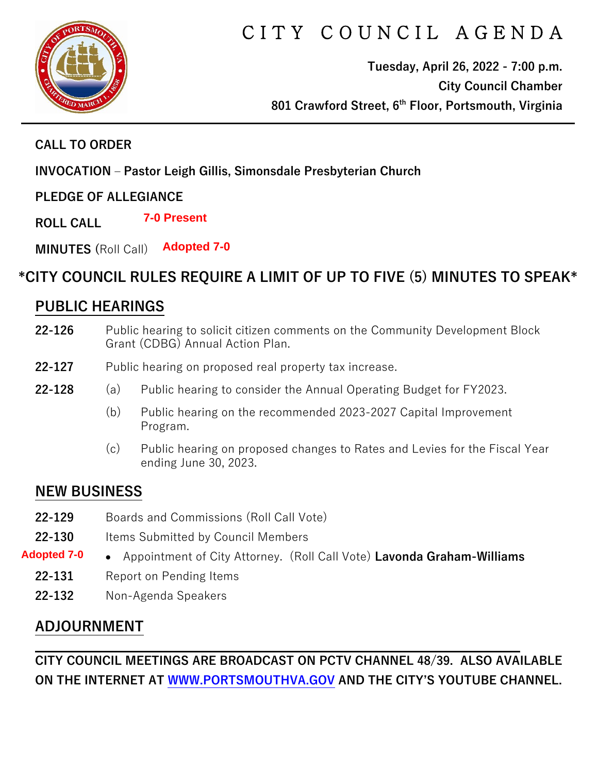

# CITY COUNCIL AGENDA

**Tuesday, April 26, 2022 - 7:00 p.m. City Council Chamber 801 Crawford Street, 6th Floor, Portsmouth, Virginia**

#### **CALL TO ORDER**

**INVOCATION – Pastor Leigh Gillis, Simonsdale Presbyterian Church**

#### **PLEDGE OF ALLEGIANCE**

**ROLL CALL 7-0 Present**

**MINUTES (**Roll Call) **Adopted 7-0** 

# **\*CITY COUNCIL RULES REQUIRE A LIMIT OF UP TO FIVE (5) MINUTES TO SPEAK\***

# **PUBLIC HEARINGS**

- **22-126** Public hearing to solicit citizen comments on the Community Development Block Grant (CDBG) Annual Action Plan.
- **22-127** Public hearing on proposed real property tax increase.
- **22-128** (a) Public hearing to consider the Annual Operating Budget for FY2023.
	- (b) Public hearing on the recommended 2023-2027 Capital Improvement Program.
	- (c) Public hearing on proposed changes to Rates and Levies for the Fiscal Year ending June 30, 2023.

## **NEW BUSINESS**

- **22-129** Boards and Commissions (Roll Call Vote)
- **22-130** Items Submitted by Council Members
- Appointment of City Attorney. (Roll Call Vote) **Lavonda Graham-Williams Adopted 7-0** 
	- **22-131** Report on Pending Items
	- **22-132** Non-Agenda Speakers

## **ADJOURNMENT**

**CITY COUNCIL MEETINGS ARE BROADCAST ON PCTV CHANNEL 48/39. ALSO AVAILABLE ON THE INTERNET AT [WWW.PORTSMOUTHVA.GOV](http://www.portsmouthva.gov/) AND THE CITY'S YOUTUBE CHANNEL.**